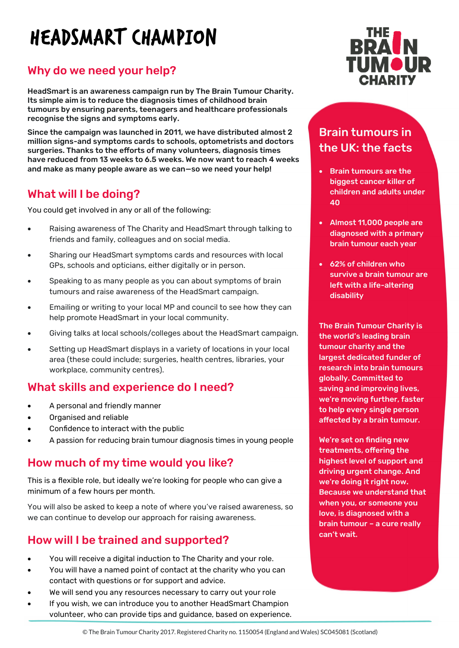# HEADSMART CHAMPION

# Why do we need your help?

HeadSmart is an awareness campaign run by The Brain Tumour Charity. Its simple aim is to reduce the diagnosis times of childhood brain tumours by ensuring parents, teenagers and healthcare professionals recognise the signs and symptoms early.

Since the campaign was launched in 2011, we have distributed almost 2 million signs-and symptoms cards to schools, optometrists and doctors surgeries. Thanks to the efforts of many volunteers, diagnosis times have reduced from 13 weeks to 6.5 weeks. We now want to reach 4 weeks and make as many people aware as we can—so we need your help!

#### What will I be doing?

You could get involved in any or all of the following:

- Raising awareness of The Charity and HeadSmart through talking to friends and family, colleagues and on social media.
- Sharing our HeadSmart symptoms cards and resources with local GPs, schools and opticians, either digitally or in person.
- Speaking to as many people as you can about symptoms of brain tumours and raise awareness of the HeadSmart campaign.
- Emailing or writing to your local MP and council to see how they can help promote HeadSmart in your local community.
- Giving talks at local schools/colleges about the HeadSmart campaign.
- Setting up HeadSmart displays in a variety of locations in your local area (these could include; surgeries, health centres, libraries, your workplace, community centres).

#### What skills and experience do I need?

- A personal and friendly manner
- Organised and reliable
- Confidence to interact with the public
- A passion for reducing brain tumour diagnosis times in young people

#### How much of my time would you like?

This is a flexible role, but ideally we're looking for people who can give a minimum of a few hours per month.

You will also be asked to keep a note of where you've raised awareness, so we can continue to develop our approach for raising awareness.

# How will I be trained and supported?

- You will receive a digital induction to The Charity and your role.
- You will have a named point of contact at the charity who you can contact with questions or for support and advice.
- We will send you any resources necessary to carry out your role
- If you wish, we can introduce you to another HeadSmart Champion volunteer, who can provide tips and guidance, based on experience.



# Brain tumours in the UK: the facts

- Brain tumours are the biggest cancer killer of children and adults under 40
- Almost 11,000 people are diagnosed with a primary brain tumour each year
- 62% of children who survive a brain tumour are left with a life-altering disability

The Brain Tumour Charity is the world's leading brain tumour charity and the largest dedicated funder of research into brain tumours globally. Committed to saving and improving lives, we're moving further, faster to help every single person affected by a brain tumour.

We're set on finding new treatments, offering the highest level of support and driving urgent change. And we're doing it right now. Because we understand that when you, or someone you love, is diagnosed with a brain tumour – a cure really can't wait.